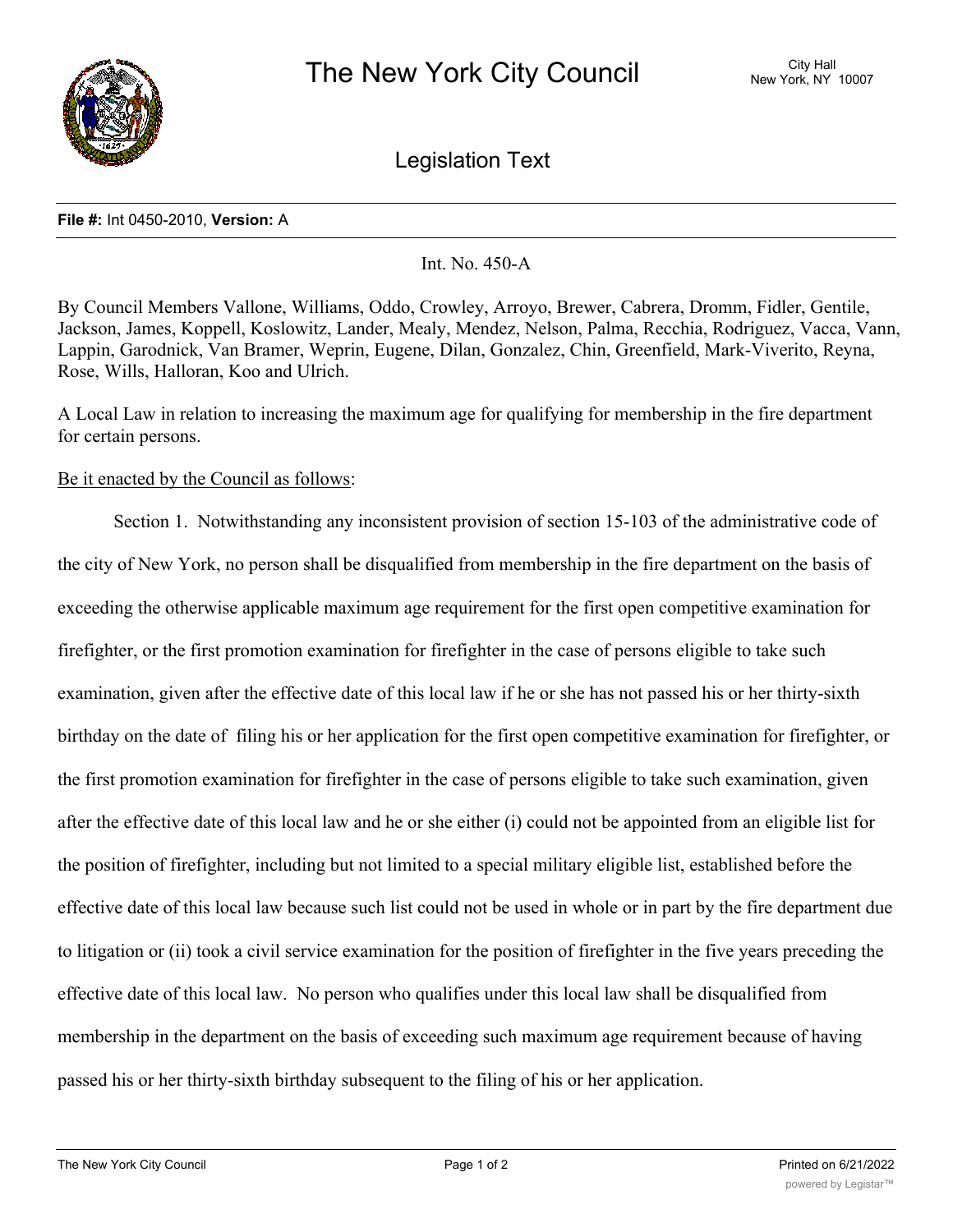

Legislation Text

## **File #:** Int 0450-2010, **Version:** A

Int. No. 450-A

By Council Members Vallone, Williams, Oddo, Crowley, Arroyo, Brewer, Cabrera, Dromm, Fidler, Gentile, Jackson, James, Koppell, Koslowitz, Lander, Mealy, Mendez, Nelson, Palma, Recchia, Rodriguez, Vacca, Vann, Lappin, Garodnick, Van Bramer, Weprin, Eugene, Dilan, Gonzalez, Chin, Greenfield, Mark-Viverito, Reyna, Rose, Wills, Halloran, Koo and Ulrich.

A Local Law in relation to increasing the maximum age for qualifying for membership in the fire department for certain persons.

## Be it enacted by the Council as follows:

Section 1. Notwithstanding any inconsistent provision of section 15-103 of the administrative code of the city of New York, no person shall be disqualified from membership in the fire department on the basis of exceeding the otherwise applicable maximum age requirement for the first open competitive examination for firefighter, or the first promotion examination for firefighter in the case of persons eligible to take such examination, given after the effective date of this local law if he or she has not passed his or her thirty-sixth birthday on the date of filing his or her application for the first open competitive examination for firefighter, or the first promotion examination for firefighter in the case of persons eligible to take such examination, given after the effective date of this local law and he or she either (i) could not be appointed from an eligible list for the position of firefighter, including but not limited to a special military eligible list, established before the effective date of this local law because such list could not be used in whole or in part by the fire department due to litigation or (ii) took a civil service examination for the position of firefighter in the five years preceding the effective date of this local law. No person who qualifies under this local law shall be disqualified from membership in the department on the basis of exceeding such maximum age requirement because of having passed his or her thirty-sixth birthday subsequent to the filing of his or her application.